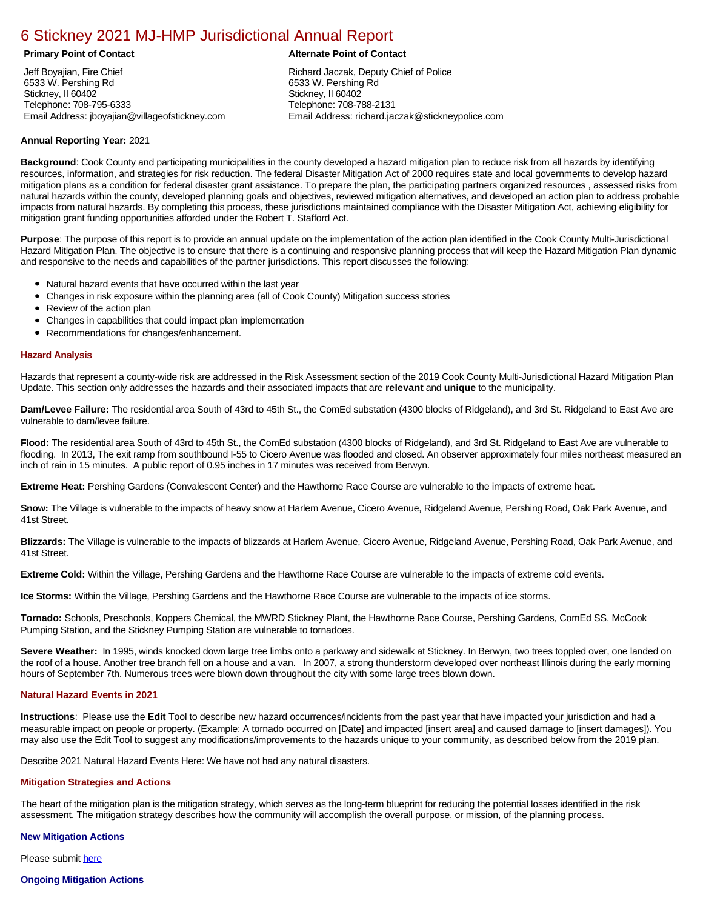# [6 Stickney 2021 MJ-HMP Jurisdictional Annual Report](https://stickney.isc-cemp.com/Cemp/Details?id=8322923)

Jeff Boyajian, Fire Chief 6533 W. Pershing Rd Stickney, II 60402 Telephone: 708-795-6333 Email Address: jboyajian@villageofstickney.com

# **Primary Point of Contact Alternate Point of Contact**

Richard Jaczak, Deputy Chief of Police 6533 W. Pershing Rd Stickney, II 60402 Telephone: 708-788-2131 Email Address: richard.jaczak@stickneypolice.com

# **Annual Reporting Year:** 2021

**Background**: Cook County and participating municipalities in the county developed a hazard mitigation plan to reduce risk from all hazards by identifying resources, information, and strategies for risk reduction. The federal Disaster Mitigation Act of 2000 requires state and local governments to develop hazard mitigation plans as a condition for federal disaster grant assistance. To prepare the plan, the participating partners organized resources , assessed risks from natural hazards within the county, developed planning goals and objectives, reviewed mitigation alternatives, and developed an action plan to address probable impacts from natural hazards. By completing this process, these jurisdictions maintained compliance with the Disaster Mitigation Act, achieving eligibility for mitigation grant funding opportunities afforded under the Robert T. Stafford Act.

**Purpose**: The purpose of this report is to provide an annual update on the implementation of the action plan identified in the Cook County Multi-Jurisdictional Hazard Mitigation Plan. The objective is to ensure that there is a continuing and responsive planning process that will keep the Hazard Mitigation Plan dynamic and responsive to the needs and capabilities of the partner jurisdictions. This report discusses the following:

- Natural hazard events that have occurred within the last year
- $\bullet$ Changes in risk exposure within the planning area (all of Cook County) Mitigation success stories
- Review of the action plan  $\bullet$
- $\bullet$ Changes in capabilities that could impact plan implementation
- Recommendations for changes/enhancement.

### **Hazard Analysis**

Hazards that represent a county-wide risk are addressed in the Risk Assessment section of the 2019 Cook County Multi-Jurisdictional Hazard Mitigation Plan Update. This section only addresses the hazards and their associated impacts that are **relevant** and **unique** to the municipality.

**Dam/Levee Failure:** The residential area South of 43rd to 45th St., the ComEd substation (4300 blocks of Ridgeland), and 3rd St. Ridgeland to East Ave are vulnerable to dam/levee failure.

Flood: The residential area South of 43rd to 45th St., the ComEd substation (4300 blocks of Ridgeland), and 3rd St. Ridgeland to East Ave are vulnerable to flooding. In 2013, The exit ramp from southbound I-55 to Cicero Avenue was flooded and closed. An observer approximately four miles northeast measured an inch of rain in 15 minutes. A public report of 0.95 inches in 17 minutes was received from Berwyn.

**Extreme Heat:** Pershing Gardens (Convalescent Center) and the Hawthorne Race Course are vulnerable to the impacts of extreme heat.

**Snow:** The Village is vulnerable to the impacts of heavy snow at Harlem Avenue, Cicero Avenue, Ridgeland Avenue, Pershing Road, Oak Park Avenue, and 41st Street.

**Blizzards:** The Village is vulnerable to the impacts of blizzards at Harlem Avenue, Cicero Avenue, Ridgeland Avenue, Pershing Road, Oak Park Avenue, and 41st Street.

**Extreme Cold:** Within the Village, Pershing Gardens and the Hawthorne Race Course are vulnerable to the impacts of extreme cold events.

**Ice Storms:** Within the Village, Pershing Gardens and the Hawthorne Race Course are vulnerable to the impacts of ice storms.

**Tornado:** Schools, Preschools, Koppers Chemical, the MWRD Stickney Plant, the Hawthorne Race Course, Pershing Gardens, ComEd SS, McCook Pumping Station, and the Stickney Pumping Station are vulnerable to tornadoes.

**Severe Weather:** In 1995, winds knocked down large tree limbs onto a parkway and sidewalk at Stickney. In Berwyn, two trees toppled over, one landed on the roof of a house. Another tree branch fell on a house and a van. In 2007, a strong thunderstorm developed over northeast Illinois during the early morning hours of September 7th. Numerous trees were blown down throughout the city with some large trees blown down.

#### **Natural Hazard Events in 2021**

**Instructions**: Please use the **Edit** Tool to describe new hazard occurrences/incidents from the past year that have impacted your jurisdiction and had a measurable impact on people or property. (Example: A tornado occurred on [Date] and impacted [insert area] and caused damage to [insert damages]). You may also use the Edit Tool to suggest any modifications/improvements to the hazards unique to your community, as described below from the 2019 plan.

Describe 2021 Natural Hazard Events Here: We have not had any natural disasters.

# **Mitigation Strategies and Actions**

The heart of the mitigation plan is the mitigation strategy, which serves as the long-term blueprint for reducing the potential losses identified in the risk assessment. The mitigation strategy describes how the community will accomplish the overall purpose, or mission, of the planning process.

# **New Mitigation Actions**

Please submit [here](https://integratedsolutions.wufoo.com/forms/mg21jvf0jn639o/)

# **Ongoing Mitigation Actions**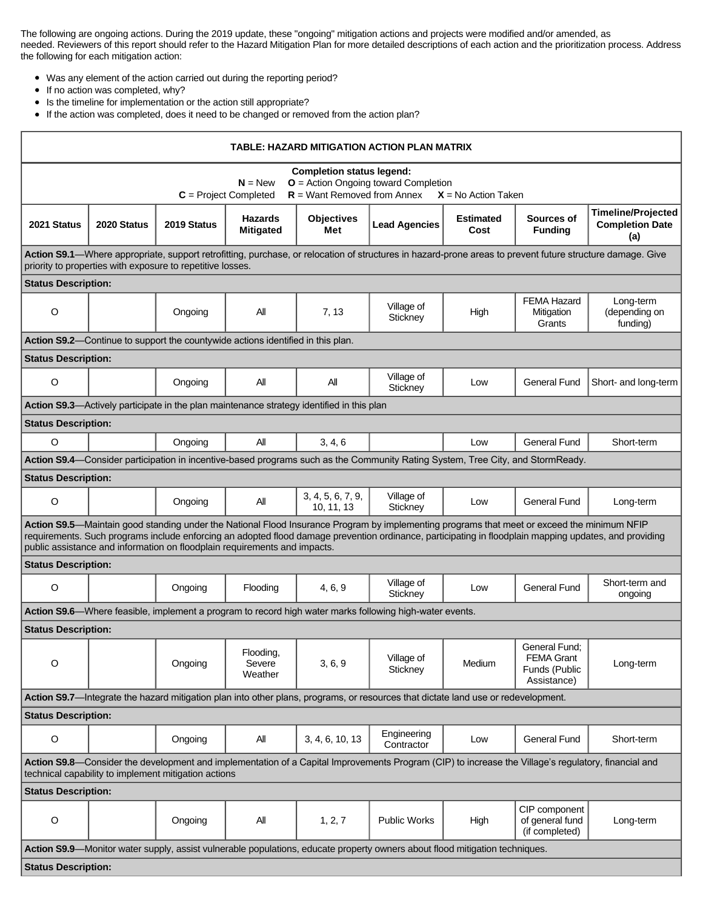The following are ongoing actions. During the 2019 update, these "ongoing" mitigation actions and projects were modified and/or amended, as needed. Reviewers of this report should refer to the Hazard Mitigation Plan for more detailed descriptions of each action and the prioritization process. Address the following for each mitigation action:

- Was any element of the action carried out during the reporting period?
- $\bullet$ If no action was completed, why?
- Is the timeline for implementation or the action still appropriate?  $\bullet$
- If the action was completed, does it need to be changed or removed from the action plan?

| TABLE: HAZARD MITIGATION ACTION PLAN MATRIX                                                                                                                                                                                                                                                                                                                                        |             |             |                                    |                                 |                                                                                                                                   |                          |                                                                    |                                                            |  |  |  |  |
|------------------------------------------------------------------------------------------------------------------------------------------------------------------------------------------------------------------------------------------------------------------------------------------------------------------------------------------------------------------------------------|-------------|-------------|------------------------------------|---------------------------------|-----------------------------------------------------------------------------------------------------------------------------------|--------------------------|--------------------------------------------------------------------|------------------------------------------------------------|--|--|--|--|
| <b>Completion status legend:</b>                                                                                                                                                                                                                                                                                                                                                   |             |             |                                    |                                 |                                                                                                                                   |                          |                                                                    |                                                            |  |  |  |  |
| <b>O</b> = Action Ongoing toward Completion<br>$N = New$<br>$R =$ Want Removed from Annex<br>$C = Project Completed$<br>$X = No$ Action Taken                                                                                                                                                                                                                                      |             |             |                                    |                                 |                                                                                                                                   |                          |                                                                    |                                                            |  |  |  |  |
| 2021 Status                                                                                                                                                                                                                                                                                                                                                                        | 2020 Status | 2019 Status | <b>Hazards</b><br><b>Mitigated</b> | <b>Objectives</b><br>Met        | <b>Lead Agencies</b>                                                                                                              | <b>Estimated</b><br>Cost | Sources of<br><b>Funding</b>                                       | <b>Timeline/Projected</b><br><b>Completion Date</b><br>(a) |  |  |  |  |
| Action S9.1-Where appropriate, support retrofitting, purchase, or relocation of structures in hazard-prone areas to prevent future structure damage. Give<br>priority to properties with exposure to repetitive losses.                                                                                                                                                            |             |             |                                    |                                 |                                                                                                                                   |                          |                                                                    |                                                            |  |  |  |  |
| <b>Status Description:</b>                                                                                                                                                                                                                                                                                                                                                         |             |             |                                    |                                 |                                                                                                                                   |                          |                                                                    |                                                            |  |  |  |  |
| $\circ$                                                                                                                                                                                                                                                                                                                                                                            |             | Ongoing     | All                                | 7, 13                           | Village of<br>Stickney                                                                                                            | High                     | <b>FEMA Hazard</b><br>Mitigation<br>Grants                         | Long-term<br>(depending on<br>funding)                     |  |  |  |  |
| Action S9.2-Continue to support the countywide actions identified in this plan.                                                                                                                                                                                                                                                                                                    |             |             |                                    |                                 |                                                                                                                                   |                          |                                                                    |                                                            |  |  |  |  |
| <b>Status Description:</b>                                                                                                                                                                                                                                                                                                                                                         |             |             |                                    |                                 |                                                                                                                                   |                          |                                                                    |                                                            |  |  |  |  |
| O                                                                                                                                                                                                                                                                                                                                                                                  |             | Ongoing     | All                                | All                             | Village of<br>Stickney                                                                                                            | Low                      | <b>General Fund</b>                                                | Short- and long-term                                       |  |  |  |  |
| Action S9.3-Actively participate in the plan maintenance strategy identified in this plan                                                                                                                                                                                                                                                                                          |             |             |                                    |                                 |                                                                                                                                   |                          |                                                                    |                                                            |  |  |  |  |
| <b>Status Description:</b>                                                                                                                                                                                                                                                                                                                                                         |             |             |                                    |                                 |                                                                                                                                   |                          |                                                                    |                                                            |  |  |  |  |
| $\circ$                                                                                                                                                                                                                                                                                                                                                                            |             | Ongoing     | All                                | 3, 4, 6                         |                                                                                                                                   | Low                      | <b>General Fund</b>                                                | Short-term                                                 |  |  |  |  |
|                                                                                                                                                                                                                                                                                                                                                                                    |             |             |                                    |                                 | Action S9.4—Consider participation in incentive-based programs such as the Community Rating System, Tree City, and StormReady.    |                          |                                                                    |                                                            |  |  |  |  |
| <b>Status Description:</b>                                                                                                                                                                                                                                                                                                                                                         |             |             |                                    |                                 |                                                                                                                                   |                          |                                                                    |                                                            |  |  |  |  |
| O                                                                                                                                                                                                                                                                                                                                                                                  |             | Ongoing     | All                                | 3, 4, 5, 6, 7, 9,<br>10, 11, 13 | Village of<br>Stickney                                                                                                            | Low                      | <b>General Fund</b>                                                | Long-term                                                  |  |  |  |  |
| Action S9.5-Maintain good standing under the National Flood Insurance Program by implementing programs that meet or exceed the minimum NFIP<br>requirements. Such programs include enforcing an adopted flood damage prevention ordinance, participating in floodplain mapping updates, and providing<br>public assistance and information on floodplain requirements and impacts. |             |             |                                    |                                 |                                                                                                                                   |                          |                                                                    |                                                            |  |  |  |  |
| <b>Status Description:</b>                                                                                                                                                                                                                                                                                                                                                         |             |             |                                    |                                 |                                                                                                                                   |                          |                                                                    |                                                            |  |  |  |  |
| $\circ$                                                                                                                                                                                                                                                                                                                                                                            |             | Ongoing     | Flooding                           | 4, 6, 9                         | Village of<br>Stickney                                                                                                            | Low                      | <b>General Fund</b>                                                | Short-term and<br>ongoing                                  |  |  |  |  |
|                                                                                                                                                                                                                                                                                                                                                                                    |             |             |                                    |                                 | Action S9.6—Where feasible, implement a program to record high water marks following high-water events.                           |                          |                                                                    |                                                            |  |  |  |  |
| <b>Status Description:</b>                                                                                                                                                                                                                                                                                                                                                         |             |             |                                    |                                 |                                                                                                                                   |                          |                                                                    |                                                            |  |  |  |  |
| O                                                                                                                                                                                                                                                                                                                                                                                  |             | Ongoing     | Flooding,<br>Severe<br>Weather     | 3, 6, 9                         | Village of<br>Stickney                                                                                                            | Medium                   | General Fund;<br><b>FEMA Grant</b><br>Funds (Public<br>Assistance) | Long-term                                                  |  |  |  |  |
|                                                                                                                                                                                                                                                                                                                                                                                    |             |             |                                    |                                 | Action S9.7-Integrate the hazard mitigation plan into other plans, programs, or resources that dictate land use or redevelopment. |                          |                                                                    |                                                            |  |  |  |  |
| <b>Status Description:</b>                                                                                                                                                                                                                                                                                                                                                         |             |             |                                    |                                 |                                                                                                                                   |                          |                                                                    |                                                            |  |  |  |  |
| $\mathsf O$                                                                                                                                                                                                                                                                                                                                                                        |             | Ongoing     | All                                | 3, 4, 6, 10, 13                 | Engineering<br>Contractor                                                                                                         | Low                      | <b>General Fund</b>                                                | Short-term                                                 |  |  |  |  |
| Action S9.8-Consider the development and implementation of a Capital Improvements Program (CIP) to increase the Village's regulatory, financial and<br>technical capability to implement mitigation actions                                                                                                                                                                        |             |             |                                    |                                 |                                                                                                                                   |                          |                                                                    |                                                            |  |  |  |  |
| <b>Status Description:</b>                                                                                                                                                                                                                                                                                                                                                         |             |             |                                    |                                 |                                                                                                                                   |                          |                                                                    |                                                            |  |  |  |  |
| $\circ$                                                                                                                                                                                                                                                                                                                                                                            |             | Ongoing     | All                                | 1, 2, 7                         | <b>Public Works</b>                                                                                                               | High                     | CIP component<br>of general fund<br>(if completed)                 | Long-term                                                  |  |  |  |  |
| Action S9.9-Monitor water supply, assist vulnerable populations, educate property owners about flood mitigation techniques.                                                                                                                                                                                                                                                        |             |             |                                    |                                 |                                                                                                                                   |                          |                                                                    |                                                            |  |  |  |  |
| <b>Status Description:</b>                                                                                                                                                                                                                                                                                                                                                         |             |             |                                    |                                 |                                                                                                                                   |                          |                                                                    |                                                            |  |  |  |  |